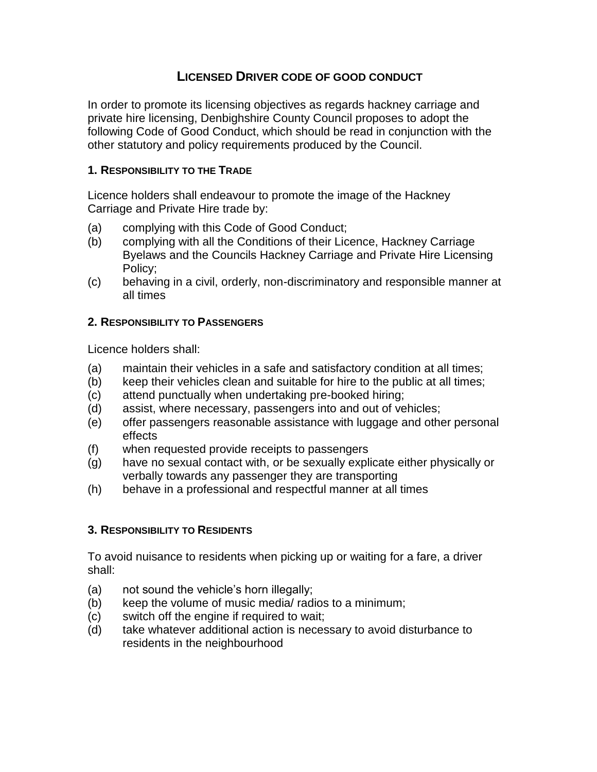# **LICENSED DRIVER CODE OF GOOD CONDUCT**

In order to promote its licensing objectives as regards hackney carriage and private hire licensing, Denbighshire County Council proposes to adopt the following Code of Good Conduct, which should be read in conjunction with the other statutory and policy requirements produced by the Council.

### **1. RESPONSIBILITY TO THE TRADE**

Licence holders shall endeavour to promote the image of the Hackney Carriage and Private Hire trade by:

- (a) complying with this Code of Good Conduct;
- (b) complying with all the Conditions of their Licence, Hackney Carriage Byelaws and the Councils Hackney Carriage and Private Hire Licensing Policy;
- (c) behaving in a civil, orderly, non-discriminatory and responsible manner at all times

## **2. RESPONSIBILITY TO PASSENGERS**

Licence holders shall:

- (a) maintain their vehicles in a safe and satisfactory condition at all times;
- (b) keep their vehicles clean and suitable for hire to the public at all times;
- (c) attend punctually when undertaking pre-booked hiring;
- (d) assist, where necessary, passengers into and out of vehicles;
- (e) offer passengers reasonable assistance with luggage and other personal effects
- (f) when requested provide receipts to passengers
- (g) have no sexual contact with, or be sexually explicate either physically or verbally towards any passenger they are transporting
- (h) behave in a professional and respectful manner at all times

# **3. RESPONSIBILITY TO RESIDENTS**

To avoid nuisance to residents when picking up or waiting for a fare, a driver shall:

- (a) not sound the vehicle's horn illegally;
- (b) keep the volume of music media/ radios to a minimum;
- (c) switch off the engine if required to wait;
- (d) take whatever additional action is necessary to avoid disturbance to residents in the neighbourhood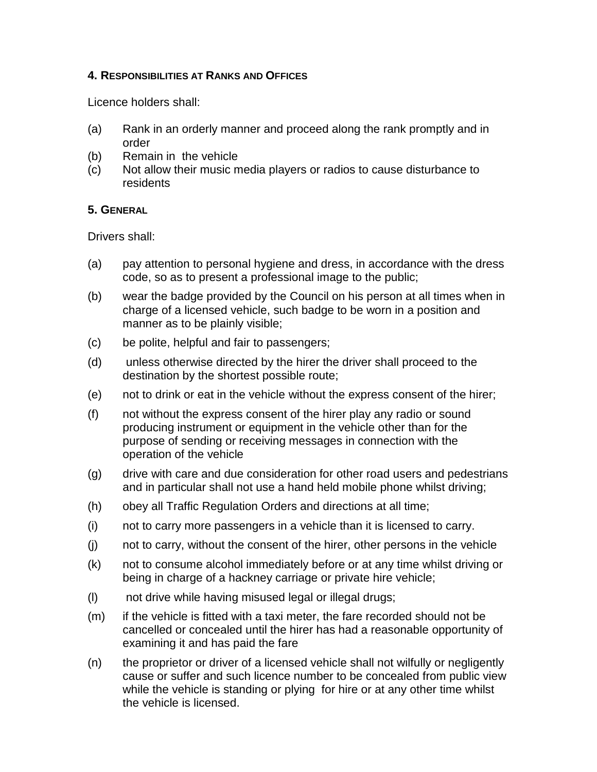### **4. RESPONSIBILITIES AT RANKS AND OFFICES**

Licence holders shall:

- (a) Rank in an orderly manner and proceed along the rank promptly and in order
- (b) Remain in the vehicle
- (c) Not allow their music media players or radios to cause disturbance to residents

## **5. GENERAL**

Drivers shall:

- (a) pay attention to personal hygiene and dress, in accordance with the dress code, so as to present a professional image to the public;
- (b) wear the badge provided by the Council on his person at all times when in charge of a licensed vehicle, such badge to be worn in a position and manner as to be plainly visible;
- (c) be polite, helpful and fair to passengers;
- (d) unless otherwise directed by the hirer the driver shall proceed to the destination by the shortest possible route;
- (e) not to drink or eat in the vehicle without the express consent of the hirer;
- (f) not without the express consent of the hirer play any radio or sound producing instrument or equipment in the vehicle other than for the purpose of sending or receiving messages in connection with the operation of the vehicle
- (g) drive with care and due consideration for other road users and pedestrians and in particular shall not use a hand held mobile phone whilst driving;
- (h) obey all Traffic Regulation Orders and directions at all time;
- (i) not to carry more passengers in a vehicle than it is licensed to carry.
- (j) not to carry, without the consent of the hirer, other persons in the vehicle
- (k) not to consume alcohol immediately before or at any time whilst driving or being in charge of a hackney carriage or private hire vehicle;
- (l) not drive while having misused legal or illegal drugs;
- (m) if the vehicle is fitted with a taxi meter, the fare recorded should not be cancelled or concealed until the hirer has had a reasonable opportunity of examining it and has paid the fare
- (n) the proprietor or driver of a licensed vehicle shall not wilfully or negligently cause or suffer and such licence number to be concealed from public view while the vehicle is standing or plying for hire or at any other time whilst the vehicle is licensed.